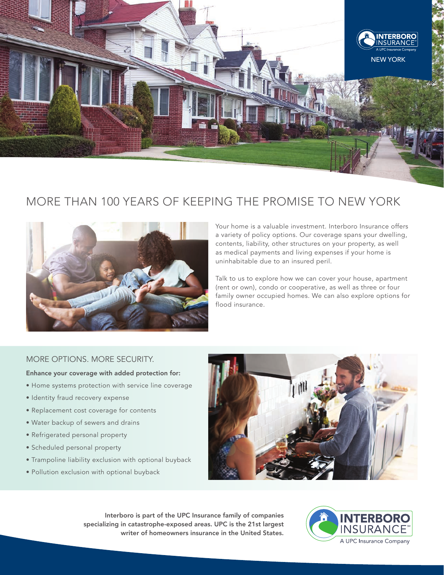

# MORE THAN 100 YEARS OF KEEPING THE PROMISE TO NEW YORK



Your home is a valuable investment. Interboro Insurance offers a variety of policy options. Our coverage spans your dwelling, contents, liability, other structures on your property, as well as medical payments and living expenses if your home is uninhabitable due to an insured peril.

Talk to us to explore how we can cover your house, apartment (rent or own), condo or cooperative, as well as three or four family owner occupied homes. We can also explore options for flood insurance.

## MORE OPTIONS. MORE SECURITY.

#### Enhance your coverage with added protection for:

- Home systems protection with service line coverage
- Identity fraud recovery expense
- Replacement cost coverage for contents
- Water backup of sewers and drains
- Refrigerated personal property
- Scheduled personal property
- Trampoline liability exclusion with optional buyback
- Pollution exclusion with optional buyback



Interboro is part of the UPC Insurance family of companies specializing in catastrophe-exposed areas. UPC is the 21st largest writer of homeowners insurance in the United States.